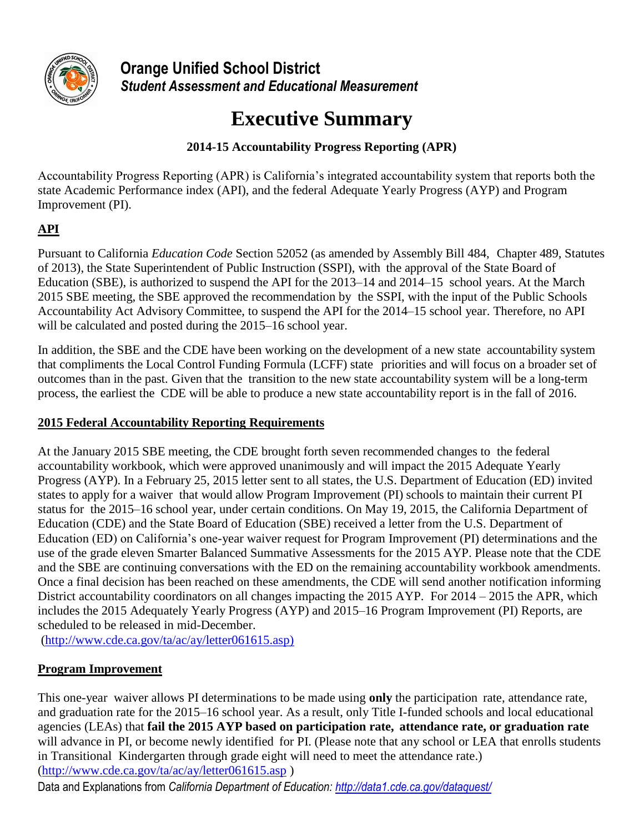

**Orange Unified School District** *Student Assessment and Educational Measurement* 

# **Executive Summary**

# **2014-15 Accountability Progress Reporting (APR)**

Accountability Progress Reporting (APR) is California's integrated accountability system that reports both the state Academic Performance index (API), and the federal Adequate Yearly Progress (AYP) and Program Improvement (PI).

# **API**

Pursuant to California *Education Code* Section 52052 (as amended by Assembly Bill 484, Chapter 489, Statutes of 2013), the State Superintendent of Public Instruction (SSPI), with the approval of the State Board of Education (SBE), is authorized to suspend the API for the 2013–14 and 2014–15 school years. At the March 2015 SBE meeting, the SBE approved the recommendation by the SSPI, with the input of the Public Schools Accountability Act Advisory Committee, to suspend the API for the 2014–15 school year. Therefore, no API will be calculated and posted during the 2015–16 school year.

In addition, the SBE and the CDE have been working on the development of a new state accountability system that compliments the Local Control Funding Formula (LCFF) state priorities and will focus on a broader set of outcomes than in the past. Given that the transition to the new state accountability system will be a long-term process, the earliest the CDE will be able to produce a new state accountability report is in the fall of 2016.

# **2015 Federal Accountability Reporting Requirements**

At the January 2015 SBE meeting, the CDE brought forth seven recommended changes to the federal accountability workbook, which were approved unanimously and will impact the 2015 Adequate Yearly Progress (AYP). In a February 25, 2015 letter sent to all states, the U.S. Department of Education (ED) invited states to apply for a waiver that would allow Program Improvement (PI) schools to maintain their current PI status for the 2015–16 school year, under certain conditions. On May 19, 2015, the California Department of Education (CDE) and the State Board of Education (SBE) received a letter from the U.S. Department of Education (ED) on California's one-year waiver request for Program Improvement (PI) determinations and the use of the grade eleven Smarter Balanced Summative Assessments for the 2015 AYP. Please note that the CDE and the SBE are continuing conversations with the ED on the remaining accountability workbook amendments. Once a final decision has been reached on these amendments, the CDE will send another notification informing District accountability coordinators on all changes impacting the 2015 AYP. For 2014 – 2015 the APR, which includes the 2015 Adequately Yearly Progress (AYP) and 2015–16 Program Improvement (PI) Reports, are scheduled to be released in mid-December.

[\(http://www.cde.ca.gov/ta/ac/ay/letter061615.asp\)](http://www.cde.ca.gov/ta/ac/ay/letter061615.asp)

# **Program Improvement**

This one-year waiver allows PI determinations to be made using **only** the participation rate, attendance rate, and graduation rate for the 2015–16 school year. As a result, only Title I-funded schools and local educational agencies (LEAs) that **fail the 2015 AYP based on participation rate, attendance rate, or graduation rate** will advance in PI, or become newly identified for PI. (Please note that any school or LEA that enrolls students in Transitional Kindergarten through grade eight will need to meet the attendance rate.) [\(http://www.cde.ca.gov/ta/ac/ay/letter061615.asp](http://www.cde.ca.gov/ta/ac/ay/letter061615.asp) )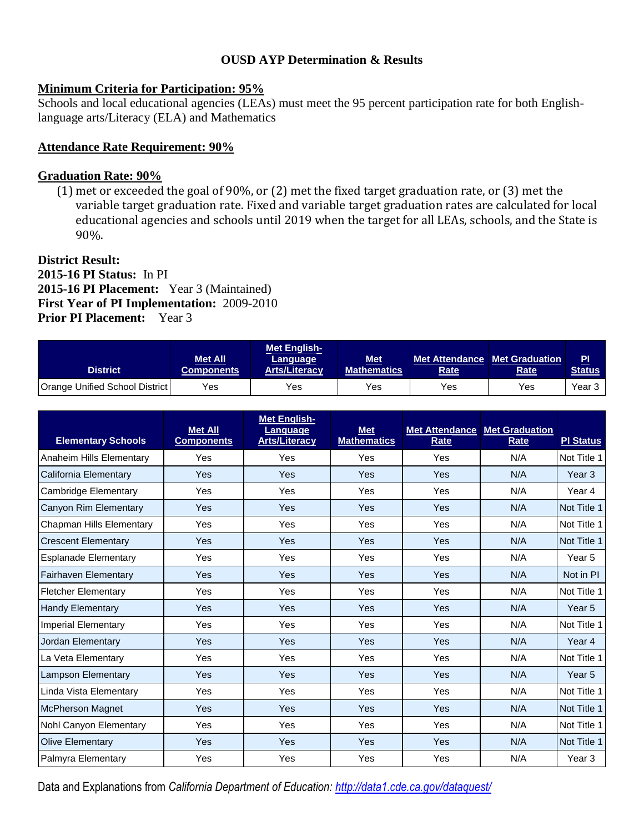#### **OUSD AYP Determination & Results**

#### **Minimum Criteria for Participation: 95%**

Schools and local educational agencies (LEAs) must meet the 95 percent participation rate for both Englishlanguage arts/Literacy (ELA) and Mathematics

#### **Attendance Rate Requirement: 90%**

#### **Graduation Rate: 90%**

(1) met or exceeded the goal of 90%, or (2) met the fixed target graduation rate, or (3) met the variable target graduation rate. Fixed and variable target graduation rates are calculated for local educational agencies and schools until 2019 when the target for all LEAs, schools, and the State is 90%.

#### **District Result: 2015-16 PI Status:** In PI **2015-16 PI Placement:** Year 3 (Maintained) **First Year of PI Implementation:** 2009-2010 **Prior PI Placement:** Year 3

| <b>District</b>                       | <b>Met All</b><br><b>Components</b> | Met English-<br>Language<br><b>Arts/Literacy</b> | <b>Met</b><br><b>Mathematics</b> | <b>Met Attendance   Met Graduation</b><br><b>Rate</b> | Rate | P <sub>1</sub><br>Status |
|---------------------------------------|-------------------------------------|--------------------------------------------------|----------------------------------|-------------------------------------------------------|------|--------------------------|
| <b>Orange Unified School District</b> | Yes                                 | Yes                                              | Yes                              | Yes                                                   | Yes  | Year 3                   |

| <b>Elementary Schools</b>   | <b>Met All</b><br><b>Components</b> | <b>Met English-</b><br>Language<br><b>Arts/Literacy</b> | <b>Met</b><br><b>Mathematics</b> | <b>Met Attendance</b><br>Rate | <b>Met Graduation</b><br>Rate | <b>PI Status</b>  |
|-----------------------------|-------------------------------------|---------------------------------------------------------|----------------------------------|-------------------------------|-------------------------------|-------------------|
| Anaheim Hills Elementary    | Yes                                 | Yes                                                     | Yes                              | Yes                           | N/A                           | Not Title 1       |
| California Elementary       | Yes                                 | <b>Yes</b>                                              | Yes                              | Yes                           | N/A                           | Year 3            |
| Cambridge Elementary        | Yes                                 | Yes                                                     | Yes                              | Yes                           | N/A                           | Year 4            |
| Canyon Rim Elementary       | Yes                                 | Yes                                                     | Yes                              | Yes                           | N/A                           | Not Title 1       |
| Chapman Hills Elementary    | Yes                                 | Yes                                                     | Yes                              | Yes                           | N/A                           | Not Title 1       |
| <b>Crescent Elementary</b>  | Yes                                 | Yes                                                     | Yes                              | Yes                           | N/A                           | Not Title 1       |
| <b>Esplanade Elementary</b> | Yes                                 | Yes                                                     | Yes                              | Yes                           | N/A                           | Year 5            |
| <b>Fairhaven Elementary</b> | Yes                                 | <b>Yes</b>                                              | Yes                              | Yes                           | N/A                           | Not in PI         |
| <b>Fletcher Elementary</b>  | Yes                                 | Yes                                                     | Yes                              | Yes                           | N/A                           | Not Title 1       |
| <b>Handy Elementary</b>     | Yes                                 | Yes                                                     | Yes                              | Yes                           | N/A                           | Year <sub>5</sub> |
| <b>Imperial Elementary</b>  | Yes                                 | Yes                                                     | Yes                              | Yes                           | N/A                           | Not Title 1       |
| Jordan Elementary           | Yes                                 | <b>Yes</b>                                              | Yes                              | Yes                           | N/A                           | Year <sub>4</sub> |
| La Veta Elementary          | Yes                                 | Yes                                                     | Yes                              | Yes                           | N/A                           | Not Title 1       |
| <b>Lampson Elementary</b>   | Yes                                 | <b>Yes</b>                                              | Yes                              | Yes                           | N/A                           | Year <sub>5</sub> |
| Linda Vista Elementary      | Yes                                 | Yes                                                     | Yes                              | Yes                           | N/A                           | Not Title 1       |
| <b>McPherson Magnet</b>     | Yes                                 | <b>Yes</b>                                              | Yes                              | Yes                           | N/A                           | Not Title 1       |
| Nohl Canyon Elementary      | Yes                                 | Yes                                                     | Yes                              | Yes                           | N/A                           | Not Title 1       |
| <b>Olive Elementary</b>     | Yes                                 | <b>Yes</b>                                              | Yes                              | Yes                           | N/A                           | Not Title 1       |
| Palmyra Elementary          | Yes                                 | Yes                                                     | Yes                              | Yes                           | N/A                           | Year 3            |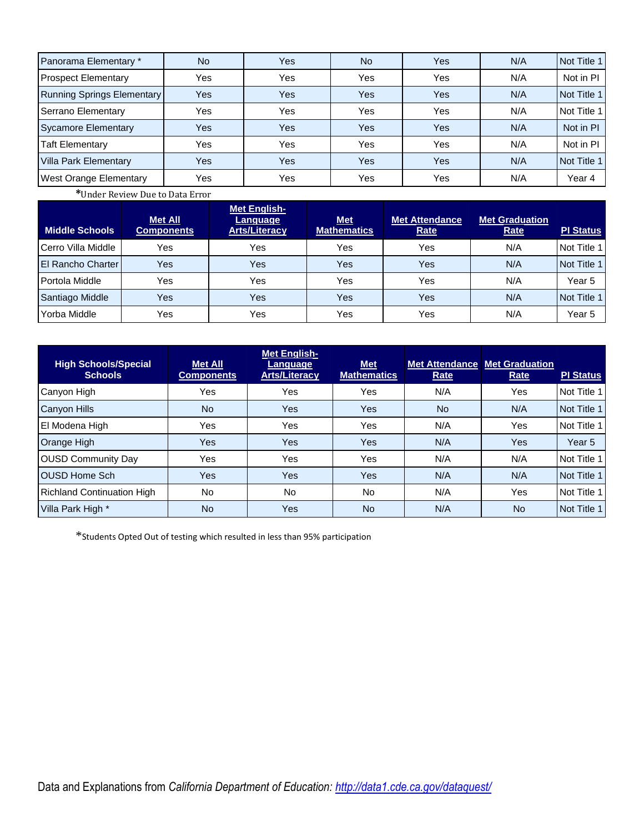| Panorama Elementary *             | No. | <b>Yes</b> | No. | Yes        | N/A | Not Title 1 |
|-----------------------------------|-----|------------|-----|------------|-----|-------------|
| <b>Prospect Elementary</b>        | Yes | Yes        | Yes | Yes        | N/A | Not in PI   |
| <b>Running Springs Elementary</b> | Yes | <b>Yes</b> | Yes | Yes        | N/A | Not Title 1 |
| Serrano Elementary                | Yes | Yes        | Yes | Yes        | N/A | Not Title 1 |
| <b>Sycamore Elementary</b>        | Yes | <b>Yes</b> | Yes | Yes        | N/A | Not in PI   |
| <b>Taft Elementary</b>            | Yes | Yes        | Yes | Yes        | N/A | Not in PI   |
| <b>Villa Park Elementary</b>      | Yes | <b>Yes</b> | Yes | <b>Yes</b> | N/A | Not Title 1 |
| West Orange Elementary            | Yes | Yes        | Yes | Yes        | N/A | Year 4      |

**\***Under Review Due to Data Error

| <b>Middle Schools</b> | <b>Met All</b><br><b>Components</b> | Met English-<br>Language<br><b>Arts/Literacy</b> | <b>Met</b><br><b>Mathematics</b> | <b>Met Attendance</b><br>Rate | <b>Met Graduation</b><br><b>Rate</b> | <b>PI Status</b> |
|-----------------------|-------------------------------------|--------------------------------------------------|----------------------------------|-------------------------------|--------------------------------------|------------------|
| Cerro Villa Middle    | Yes                                 | Yes                                              | Yes                              | Yes                           | N/A                                  | Not Title 1      |
| El Rancho Charter     | Yes                                 | Yes                                              | Yes                              | Yes                           | N/A                                  | Not Title 1      |
| Portola Middle        | Yes                                 | Yes                                              | Yes                              | Yes                           | N/A                                  | Year 5           |
| Santiago Middle       | Yes                                 | Yes                                              | Yes                              | Yes                           | N/A                                  | Not Title 1      |
| Yorba Middle          | Yes                                 | Yes                                              | Yes                              | Yes                           | N/A                                  | Year 5           |

| <b>High Schools/Special</b><br><b>Schools</b> | <b>Met All</b><br><b>Components</b> | <b>Met English-</b><br>Language<br><b>Arts/Literacy</b> | <b>Met</b><br><b>Mathematics</b> | <b>Met Attendance   Met Graduation</b><br>Rate | Rate      | <b>PI Status</b> |
|-----------------------------------------------|-------------------------------------|---------------------------------------------------------|----------------------------------|------------------------------------------------|-----------|------------------|
| Canyon High                                   | Yes                                 | Yes                                                     | Yes                              | N/A                                            | Yes       | Not Title 1      |
| <b>Canyon Hills</b>                           | <b>No</b>                           | Yes                                                     | Yes                              | <b>No</b>                                      | N/A       | Not Title 1      |
| El Modena High                                | Yes                                 | Yes                                                     | Yes                              | N/A                                            | Yes       | Not Title 1      |
| Orange High                                   | Yes                                 | Yes                                                     | <b>Yes</b>                       | N/A                                            | Yes       | Year 5           |
| <b>OUSD Community Day</b>                     | Yes                                 | Yes                                                     | Yes                              | N/A                                            | N/A       | Not Title 1      |
| <b>OUSD Home Sch</b>                          | Yes                                 | Yes                                                     | Yes                              | N/A                                            | N/A       | Not Title 1      |
| <b>Richland Continuation High</b>             | No.                                 | <b>No</b>                                               | No                               | N/A                                            | Yes       | Not Title 1      |
| Villa Park High *                             | <b>No</b>                           | Yes                                                     | <b>No</b>                        | N/A                                            | <b>No</b> | Not Title 1      |

\*Students Opted Out of testing which resulted in less than 95% participation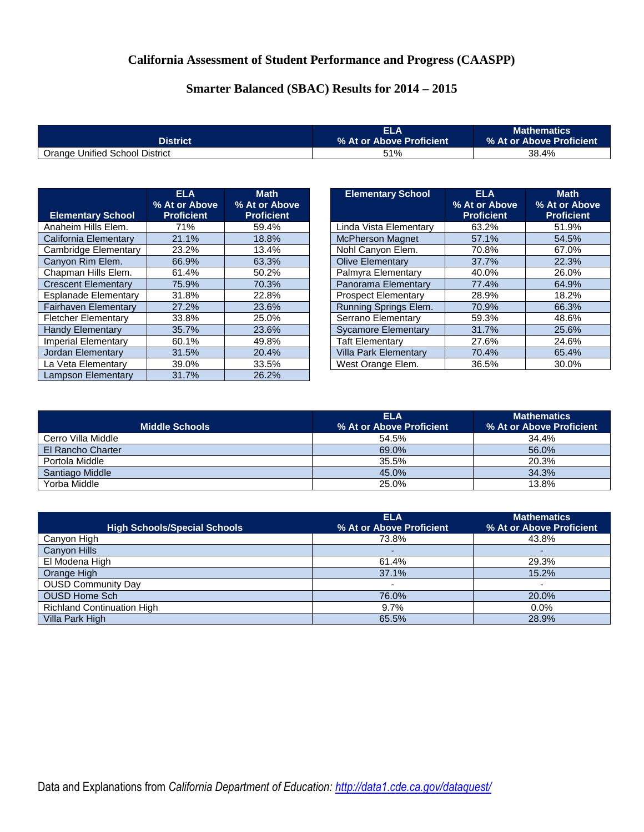# **California Assessment of Student Performance and Progress (CAASPP)**

# **Smarter Balanced (SBAC) Results for 2014 – 2015**

|                                | ELA                         | <b>Mathematics</b>       |
|--------------------------------|-----------------------------|--------------------------|
| <b>District</b>                | Ⅰ% At or Above Proficient \ | % At or Above Proficient |
| Orange Unified School District | 51%                         | 38.4%                    |

|                             | <b>ELA</b>        |                              |                              | <b>ELA</b>        |
|-----------------------------|-------------------|------------------------------|------------------------------|-------------------|
|                             | % At or Above     | <b>Math</b><br>% At or Above | <b>Elementary School</b>     | % At or Above     |
| <b>Elementary School</b>    | <b>Proficient</b> | <b>Proficient</b>            |                              | <b>Proficient</b> |
| Anaheim Hills Elem.         | 71%               | 59.4%                        | Linda Vista Elementary       | 63.2%             |
| California Elementary       | 21.1%             | 18.8%                        | <b>McPherson Magnet</b>      | 57.1%             |
| Cambridge Elementary        | 23.2%             | 13.4%                        | Nohl Canyon Elem.            | 70.8%             |
| Canyon Rim Elem.            | 66.9%             | 63.3%                        | <b>Olive Elementary</b>      | 37.7%             |
| Chapman Hills Elem.         | 61.4%             | 50.2%                        | Palmyra Elementary           | 40.0%             |
| <b>Crescent Elementary</b>  | 75.9%             | 70.3%                        | Panorama Elementary          | 77.4%             |
| <b>Esplanade Elementary</b> | 31.8%             | 22.8%                        | <b>Prospect Elementary</b>   | 28.9%             |
| <b>Fairhaven Elementary</b> | 27.2%             | 23.6%                        | Running Springs Elem.        | 70.9%             |
| <b>Fletcher Elementary</b>  | 33.8%             | 25.0%                        | Serrano Elementary           | 59.3%             |
| <b>Handy Elementary</b>     | 35.7%             | 23.6%                        | <b>Sycamore Elementary</b>   | 31.7%             |
| Imperial Elementary         | 60.1%             | 49.8%                        | <b>Taft Elementary</b>       | 27.6%             |
| Jordan Elementary           | 31.5%             | 20.4%                        | <b>Villa Park Elementarv</b> | 70.4%             |
| La Veta Elementarv          | 39.0%             | 33.5%                        | West Orange Elem.            | 36.5%             |
| Lampson Elementary          | 31.7%             | 26.2%                        |                              |                   |

| <b>Elementary School</b>     | <b>ELA</b><br>% At or Above<br><b>Proficient</b> | <b>Math</b><br>% At or Above<br><b>Proficient</b> |
|------------------------------|--------------------------------------------------|---------------------------------------------------|
| Linda Vista Elementary       | 63.2%                                            | 51.9%                                             |
| <b>McPherson Magnet</b>      | 57.1%                                            | 54.5%                                             |
| Nohl Canyon Elem.            | 70.8%                                            | 67.0%                                             |
| <b>Olive Elementary</b>      | 37.7%                                            | 22.3%                                             |
| Palmyra Elementary           | 40.0%                                            | 26.0%                                             |
| Panorama Elementary          | 77.4%                                            | 64.9%                                             |
| <b>Prospect Elementary</b>   | 28.9%                                            | 18.2%                                             |
| Running Springs Elem.        | 70.9%                                            | 66.3%                                             |
| Serrano Elementary           | 59.3%                                            | 48.6%                                             |
| <b>Sycamore Elementary</b>   | 31.7%                                            | 25.6%                                             |
| <b>Taft Elementary</b>       | 27.6%                                            | 24.6%                                             |
| <b>Villa Park Elementary</b> | 70.4%                                            | 65.4%                                             |
| West Orange Elem.            | 36.5%                                            | 30.0%                                             |

|                       | <b>ELA</b>               | <b>Mathematics</b>       |
|-----------------------|--------------------------|--------------------------|
| <b>Middle Schools</b> | % At or Above Proficient | % At or Above Proficient |
| Cerro Villa Middle    | 54.5%                    | 34.4%                    |
| El Rancho Charter     | 69.0%                    | 56.0%                    |
| Portola Middle        | 35.5%                    | 20.3%                    |
| Santiago Middle       | 45.0%                    | 34.3%                    |
| Yorba Middle          | 25.0%                    | 13.8%                    |

|                                     | <b>ELA</b>               | <b>Mathematics</b>       |
|-------------------------------------|--------------------------|--------------------------|
| <b>High Schools/Special Schools</b> | % At or Above Proficient | % At or Above Proficient |
| Canyon High                         | 73.8%                    | 43.8%                    |
| <b>Canyon Hills</b>                 | ۰                        |                          |
| El Modena High                      | 61.4%                    | 29.3%                    |
| Orange High                         | 37.1%                    | 15.2%                    |
| <b>OUSD Community Day</b>           | $\overline{\phantom{0}}$ |                          |
| <b>OUSD Home Sch</b>                | 76.0%                    | 20.0%                    |
| <b>Richland Continuation High</b>   | 9.7%                     | $0.0\%$                  |
| Villa Park High                     | 65.5%                    | 28.9%                    |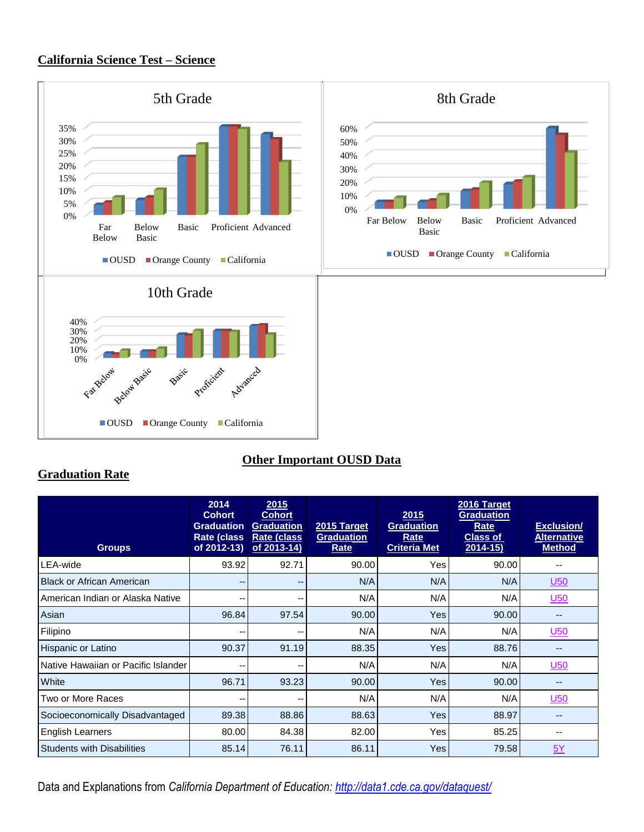#### **California Science Test – Science**



## **Other Important OUSD Data**

#### **Graduation Rate**

| <b>Groups</b>                       | 2014<br><b>Cohort</b><br><b>Graduation</b><br>Rate (class<br>of 2012-13) | 2015<br><b>Cohort</b><br><b>Graduation</b><br><b>Rate (class</b><br>of 2013-14) | 2015 Target<br><b>Graduation</b><br>Rate | 2015<br><b>Graduation</b><br>Rate<br><b>Criteria Met</b> | 2016 Target<br><b>Graduation</b><br>Rate<br><b>Class of</b><br>$2014 - 15$ | <b>Exclusion/</b><br><b>Alternative</b><br><b>Method</b> |
|-------------------------------------|--------------------------------------------------------------------------|---------------------------------------------------------------------------------|------------------------------------------|----------------------------------------------------------|----------------------------------------------------------------------------|----------------------------------------------------------|
| LEA-wide                            | 93.92                                                                    | 92.71                                                                           | 90.00                                    | Yes                                                      | 90.00                                                                      |                                                          |
| <b>Black or African American</b>    | $- -$                                                                    | --                                                                              | N/A                                      | N/A                                                      | N/A                                                                        | U50                                                      |
| American Indian or Alaska Native    | --                                                                       | --                                                                              | N/A                                      | N/A                                                      | N/A                                                                        | <u>U50</u>                                               |
| Asian                               | 96.84                                                                    | 97.54                                                                           | 90.00                                    | <b>Yes</b>                                               | 90.00                                                                      | --                                                       |
| Filipino                            | ۰.                                                                       | --                                                                              | N/A                                      | N/A                                                      | N/A                                                                        | <u>U50</u>                                               |
| Hispanic or Latino                  | 90.37                                                                    | 91.19                                                                           | 88.35                                    | <b>Yes</b>                                               | 88.76                                                                      | --                                                       |
| Native Hawaiian or Pacific Islander | --                                                                       | --                                                                              | N/A                                      | N/A                                                      | N/A                                                                        | <u>U50</u>                                               |
| White                               | 96.71                                                                    | 93.23                                                                           | 90.00                                    | <b>Yes</b>                                               | 90.00                                                                      | --                                                       |
| Two or More Races                   | --                                                                       | --                                                                              | N/A                                      | N/A                                                      | N/A                                                                        | U50                                                      |
| Socioeconomically Disadvantaged     | 89.38                                                                    | 88.86                                                                           | 88.63                                    | Yes                                                      | 88.97                                                                      | $-$                                                      |
| English Learners                    | 80.00                                                                    | 84.38                                                                           | 82.00                                    | <b>Yes</b>                                               | 85.25                                                                      | --                                                       |
| <b>Students with Disabilities</b>   | 85.14                                                                    | 76.11                                                                           | 86.11                                    | <b>Yes</b>                                               | 79.58                                                                      | 5Y                                                       |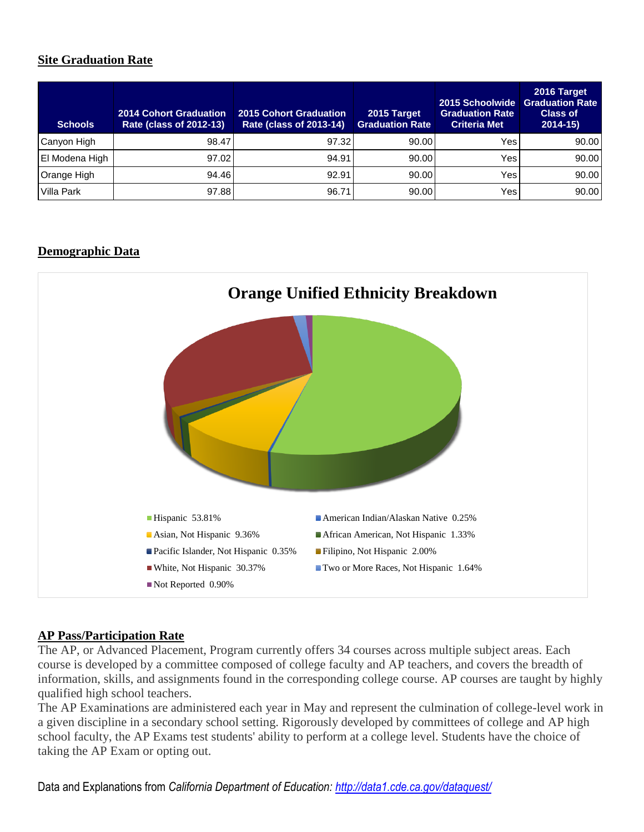# **Site Graduation Rate**

| <b>Schools</b> | <b>2014 Cohort Graduation</b><br><b>Rate (class of 2012-13)</b> | <b>2015 Cohort Graduation</b><br>Rate (class of 2013-14) | 2015 Target<br><b>Graduation Rate</b> | 2015 Schoolwide<br><b>Graduation Rate</b><br><b>Criteria Met</b> | 2016 Target<br><b>Graduation Rate</b><br><b>Class of</b><br>$2014 - 15$ |
|----------------|-----------------------------------------------------------------|----------------------------------------------------------|---------------------------------------|------------------------------------------------------------------|-------------------------------------------------------------------------|
| Canyon High    | 98.47                                                           | 97.32                                                    | 90.00                                 | Yes                                                              | 90.00                                                                   |
| El Modena High | 97.02                                                           | 94.91                                                    | 90.00                                 | Yes                                                              | 90.00                                                                   |
| Orange High    | 94.46                                                           | 92.91                                                    | 90.00                                 | Yes                                                              | 90.00                                                                   |
| Villa Park     | 97.88                                                           | 96.71                                                    | 90.00                                 | Yes                                                              | 90.00                                                                   |

## **Demographic Data**



#### **AP Pass/Participation Rate**

The AP, or Advanced Placement, Program currently offers 34 courses across multiple subject areas. Each course is developed by a committee composed of college faculty and AP teachers, and covers the breadth of information, skills, and assignments found in the corresponding college course. AP courses are taught by highly qualified high school teachers.

The AP Examinations are administered each year in May and represent the culmination of college-level work in a given discipline in a secondary school setting. Rigorously developed by committees of college and AP high school faculty, the AP Exams test students' ability to perform at a college level. Students have the choice of taking the AP Exam or opting out.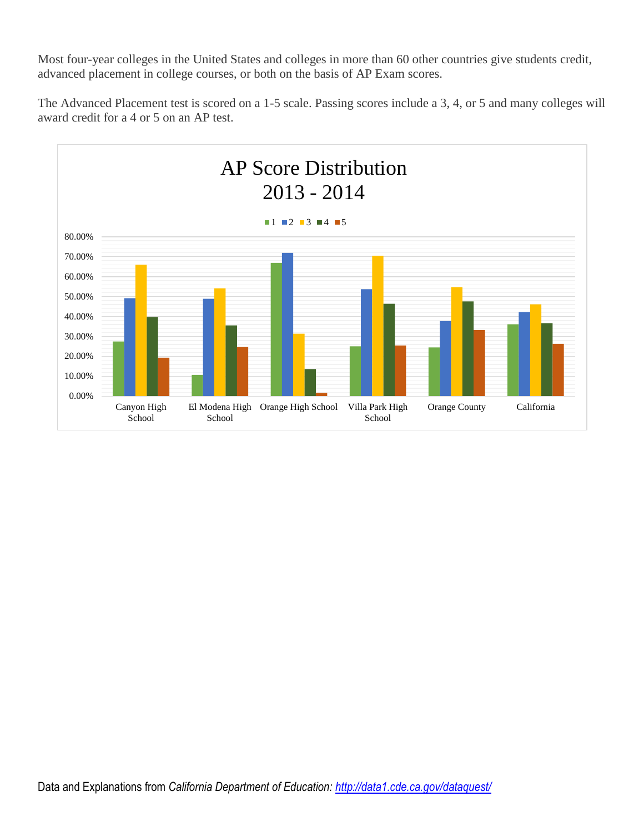Most four-year colleges in the United States and colleges in more than 60 other countries give students credit, advanced placement in college courses, or both on the basis of AP Exam scores.

The Advanced Placement test is scored on a 1-5 scale. Passing scores include a 3, 4, or 5 and many colleges will award credit for a 4 or 5 on an AP test.

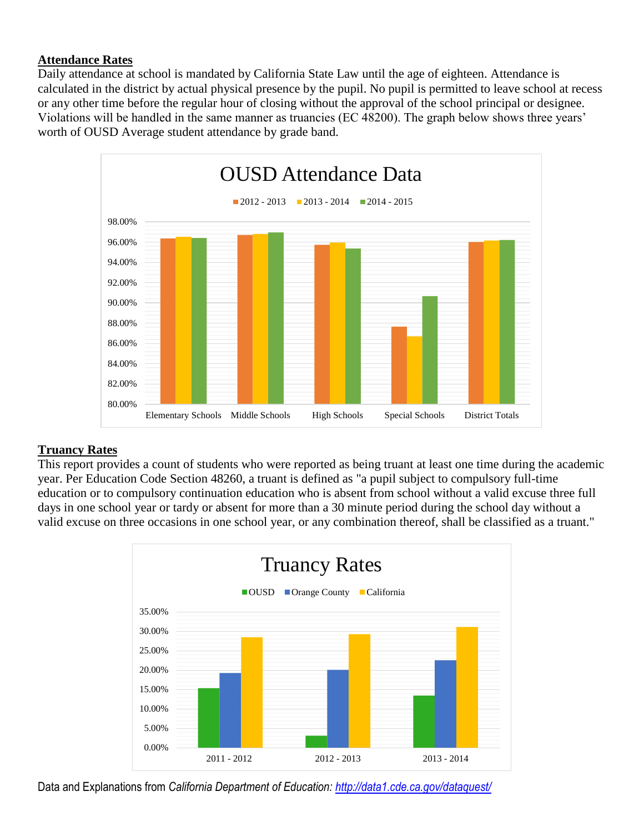### **Attendance Rates**

Daily attendance at school is mandated by California State Law until the age of eighteen. Attendance is calculated in the district by actual physical presence by the pupil. No pupil is permitted to leave school at recess or any other time before the regular hour of closing without the approval of the school principal or designee. Violations will be handled in the same manner as truancies (EC 48200). The graph below shows three years' worth of OUSD Average student attendance by grade band.



#### **Truancy Rates**

This report provides a count of students who were reported as being truant at least one time during the academic year. Per Education Code Section 48260, a truant is defined as "a pupil subject to compulsory full-time education or to compulsory continuation education who is absent from school without a valid excuse three full days in one school year or tardy or absent for more than a 30 minute period during the school day without a valid excuse on three occasions in one school year, or any combination thereof, shall be classified as a truant."

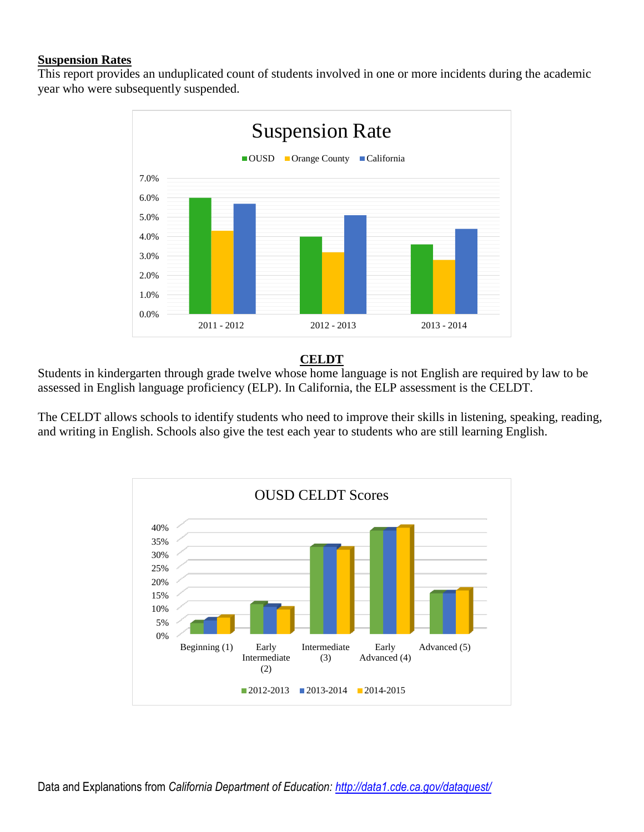#### **Suspension Rates**

This report provides an unduplicated count of students involved in one or more incidents during the academic year who were subsequently suspended.



#### **CELDT**

Students in kindergarten through grade twelve whose home language is not English are required by law to be assessed in English language proficiency (ELP). In California, the ELP assessment is the CELDT.

The CELDT allows schools to identify students who need to improve their skills in listening, speaking, reading, and writing in English. Schools also give the test each year to students who are still learning English.